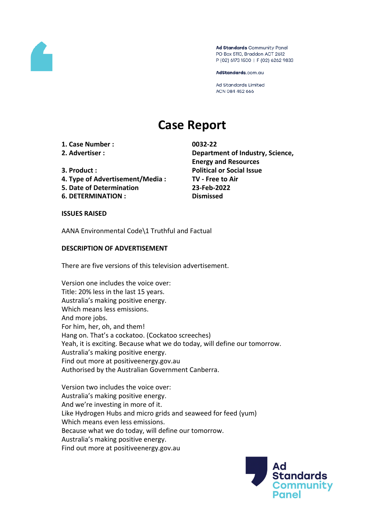

Ad Standards Community Panel PO Box 5110, Braddon ACT 2612 P (02) 6173 1500 | F (02) 6262 9833

AdStandards.com.au

Ad Standards Limited ACN 084 452 666

# **Case Report**

**1. Case Number : 0032-22**

- 
- 
- **4. Type of Advertisement/Media : TV - Free to Air**
- **5. Date of Determination 23-Feb-2022**
- **6. DETERMINATION : Dismissed**

**2. Advertiser : Department of Industry, Science, Energy and Resources 3. Product : Political or Social Issue**

#### **ISSUES RAISED**

AANA Environmental Code\1 Truthful and Factual

## **DESCRIPTION OF ADVERTISEMENT**

There are five versions of this television advertisement.

Version one includes the voice over: Title: 20% less in the last 15 years. Australia's making positive energy. Which means less emissions. And more jobs. For him, her, oh, and them! Hang on. That's a cockatoo. (Cockatoo screeches) Yeah, it is exciting. Because what we do today, will define our tomorrow. Australia's making positive energy. Find out more at positiveenergy.gov.au Authorised by the Australian Government Canberra.

Version two includes the voice over: Australia's making positive energy. And we're investing in more of it. Like Hydrogen Hubs and micro grids and seaweed for feed (yum) Which means even less emissions. Because what we do today, will define our tomorrow. Australia's making positive energy. Find out more at positiveenergy.gov.au

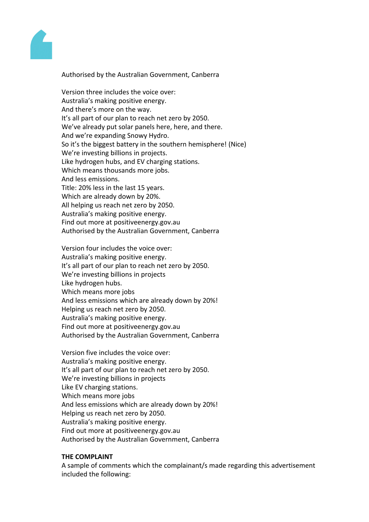

Authorised by the Australian Government, Canberra

Version three includes the voice over: Australia's making positive energy. And there's more on the way. It's all part of our plan to reach net zero by 2050. We've already put solar panels here, here, and there. And we're expanding Snowy Hydro. So it's the biggest battery in the southern hemisphere! (Nice) We're investing billions in projects. Like hydrogen hubs, and EV charging stations. Which means thousands more jobs. And less emissions. Title: 20% less in the last 15 years. Which are already down by 20%. All helping us reach net zero by 2050. Australia's making positive energy. Find out more at positiveenergy.gov.au Authorised by the Australian Government, Canberra

Version four includes the voice over: Australia's making positive energy. It's all part of our plan to reach net zero by 2050. We're investing billions in projects Like hydrogen hubs. Which means more jobs And less emissions which are already down by 20%! Helping us reach net zero by 2050. Australia's making positive energy. Find out more at positiveenergy.gov.au Authorised by the Australian Government, Canberra

Version five includes the voice over: Australia's making positive energy. It's all part of our plan to reach net zero by 2050. We're investing billions in projects Like EV charging stations. Which means more jobs And less emissions which are already down by 20%! Helping us reach net zero by 2050. Australia's making positive energy. Find out more at positiveenergy.gov.au Authorised by the Australian Government, Canberra

## **THE COMPLAINT**

A sample of comments which the complainant/s made regarding this advertisement included the following: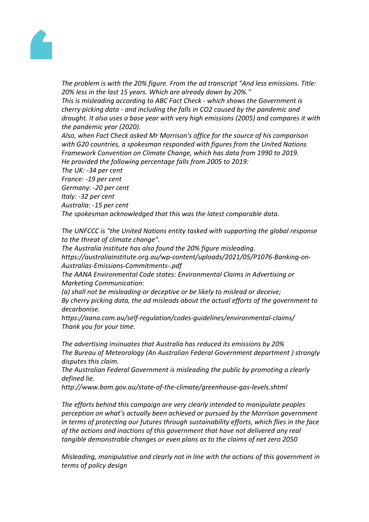

*The problem is with the 20% figure. From the ad transcript "And less emissions. Title: 20% less in the last 15 years. Which are already down by 20%."*

*This is misleading according to ABC Fact Check - which shows the Government is cherry picking data - and including the falls in CO2 caused by the pandemic and drought. It also uses a base year with very high emissions (2005) and compares it with the pandemic year (2020).*

*Also, when Fact Check asked Mr Morrison's office for the source of his comparison with G20 countries, a spokesman responded with figures from the United Nations Framework Convention on Climate Change, which has data from 1990 to 2019. He provided the following percentage falls from 2005 to 2019:*

*The UK: -34 per cent France: -19 per cent Germany: -20 per cent Italy: -32 per cent Australia: -15 per cent The spokesman acknowledged that this was the latest comparable data.*

*The UNFCCC is "the United Nations entity tasked with supporting the global response to the threat of climate change".*

*The Australia Institute has also found the 20% figure misleading. https://australiainstitute.org.au/wp-content/uploads/2021/05/P1076-Banking-on-Australias-Emissions-Commitments-.pdf*

*The AANA Environmental Code states: Environmental Claims in Advertising or Marketing Communication:*

*(a) shall not be misleading or deceptive or be likely to mislead or deceive; By cherry picking data, the ad misleads about the actual efforts of the government to decarbonise.*

*https://aana.com.au/self-regulation/codes-guidelines/environmental-claims/ Thank you for your time.*

*The advertising insinuates that Australia has reduced its emissions by 20% The Bureau of Meteorology (An Australian Federal Government department ) strongly disputes this claim.*

*The Australian Federal Government is misleading the public by promoting a clearly defined lie.*

*http://www.bom.gov.au/state-of-the-climate/greenhouse-gas-levels.shtml*

*The efforts behind this campaign are very clearly intended to manipulate peoples perception on what's actually been achieved or pursued by the Morrison government in terms of protecting our futures through sustainability efforts, which flies in the face of the actions and inactions of this government that have not delivered any real tangible demonstrable changes or even plans as to the claims of net zero 2050*

*Misleading, manipulative and clearly not in line with the actions of this government in terms of policy design*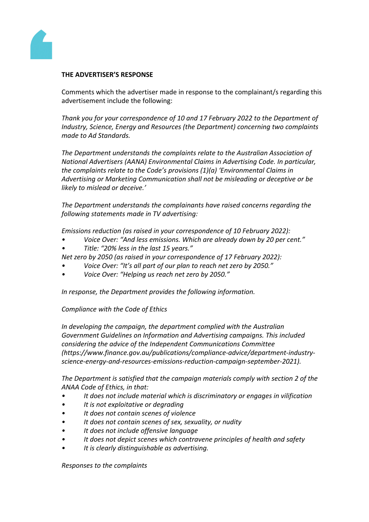

## **THE ADVERTISER'S RESPONSE**

Comments which the advertiser made in response to the complainant/s regarding this advertisement include the following:

*Thank you for your correspondence of 10 and 17 February 2022 to the Department of Industry, Science, Energy and Resources (the Department) concerning two complaints made to Ad Standards.*

*The Department understands the complaints relate to the Australian Association of National Advertisers (AANA) Environmental Claims in Advertising Code. In particular, the complaints relate to the Code's provisions (1)(a) 'Environmental Claims in Advertising or Marketing Communication shall not be misleading or deceptive or be likely to mislead or deceive.'*

*The Department understands the complainants have raised concerns regarding the following statements made in TV advertising:*

*Emissions reduction (as raised in your correspondence of 10 February 2022):*

- *• Voice Over: "And less emissions. Which are already down by 20 per cent."*
- *• Title: "20% less in the last 15 years."*
- *Net zero by 2050 (as raised in your correspondence of 17 February 2022):*
- *• Voice Over: "It's all part of our plan to reach net zero by 2050."*
- *• Voice Over: "Helping us reach net zero by 2050."*

*In response, the Department provides the following information.*

*Compliance with the Code of Ethics*

*In developing the campaign, the department complied with the Australian Government Guidelines on Information and Advertising campaigns. This included considering the advice of the Independent Communications Committee (https://www.finance.gov.au/publications/compliance-advice/department-industryscience-energy-and-resources-emissions-reduction-campaign-september-2021).*

*The Department is satisfied that the campaign materials comply with section 2 of the ANAA Code of Ethics, in that:*

- *• It does not include material which is discriminatory or engages in vilification*
- *• It is not exploitative or degrading*
- *• It does not contain scenes of violence*
- *• It does not contain scenes of sex, sexuality, or nudity*
- *• It does not include offensive language*
- *• It does not depict scenes which contravene principles of health and safety*
- *• It is clearly distinguishable as advertising.*

*Responses to the complaints*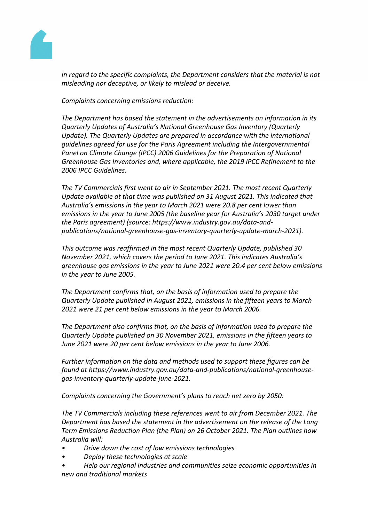

*In regard to the specific complaints, the Department considers that the material is not misleading nor deceptive, or likely to mislead or deceive.*

*Complaints concerning emissions reduction:*

*The Department has based the statement in the advertisements on information in its Quarterly Updates of Australia's National Greenhouse Gas Inventory (Quarterly Update). The Quarterly Updates are prepared in accordance with the international guidelines agreed for use for the Paris Agreement including the Intergovernmental Panel on Climate Change (IPCC) 2006 Guidelines for the Preparation of National Greenhouse Gas Inventories and, where applicable, the 2019 IPCC Refinement to the 2006 IPCC Guidelines.*

*The TV Commercials first went to air in September 2021. The most recent Quarterly Update available at that time was published on 31 August 2021. This indicated that Australia's emissions in the year to March 2021 were 20.8 per cent lower than emissions in the year to June 2005 (the baseline year for Australia's 2030 target under the Paris agreement) (source: https://www.industry.gov.au/data-andpublications/national-greenhouse-gas-inventory-quarterly-update-march-2021).*

*This outcome was reaffirmed in the most recent Quarterly Update, published 30 November 2021, which covers the period to June 2021. This indicates Australia's greenhouse gas emissions in the year to June 2021 were 20.4 per cent below emissions in the year to June 2005.*

*The Department confirms that, on the basis of information used to prepare the Quarterly Update published in August 2021, emissions in the fifteen years to March 2021 were 21 per cent below emissions in the year to March 2006.*

*The Department also confirms that, on the basis of information used to prepare the Quarterly Update published on 30 November 2021, emissions in the fifteen years to June 2021 were 20 per cent below emissions in the year to June 2006.*

*Further information on the data and methods used to support these figures can be found at https://www.industry.gov.au/data-and-publications/national-greenhousegas-inventory-quarterly-update-june-2021.*

*Complaints concerning the Government's plans to reach net zero by 2050:*

*The TV Commercials including these references went to air from December 2021. The Department has based the statement in the advertisement on the release of the Long Term Emissions Reduction Plan (the Plan) on 26 October 2021. The Plan outlines how Australia will:*

- *• Drive down the cost of low emissions technologies*
- *• Deploy these technologies at scale*
- *• Help our regional industries and communities seize economic opportunities in new and traditional markets*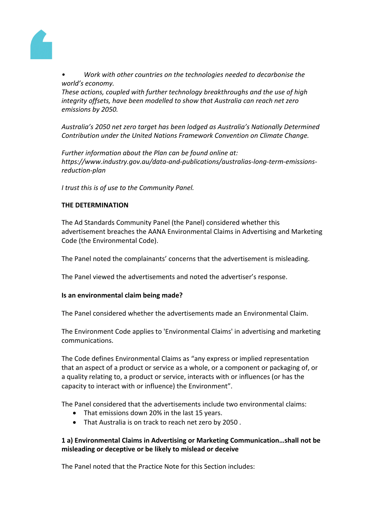

*• Work with other countries on the technologies needed to decarbonise the world's economy.*

*These actions, coupled with further technology breakthroughs and the use of high integrity offsets, have been modelled to show that Australia can reach net zero emissions by 2050.*

*Australia's 2050 net zero target has been lodged as Australia's Nationally Determined Contribution under the United Nations Framework Convention on Climate Change.*

*Further information about the Plan can be found online at: https://www.industry.gov.au/data-and-publications/australias-long-term-emissionsreduction-plan*

*I trust this is of use to the Community Panel.*

## **THE DETERMINATION**

The Ad Standards Community Panel (the Panel) considered whether this advertisement breaches the AANA Environmental Claims in Advertising and Marketing Code (the Environmental Code).

The Panel noted the complainants' concerns that the advertisement is misleading.

The Panel viewed the advertisements and noted the advertiser's response.

## **Is an environmental claim being made?**

The Panel considered whether the advertisements made an Environmental Claim.

The Environment Code applies to 'Environmental Claims' in advertising and marketing communications.

The Code defines Environmental Claims as "any express or implied representation that an aspect of a product or service as a whole, or a component or packaging of, or a quality relating to, a product or service, interacts with or influences (or has the capacity to interact with or influence) the Environment".

The Panel considered that the advertisements include two environmental claims:

- That emissions down 20% in the last 15 years.
- That Australia is on track to reach net zero by 2050 .

# **1 a) Environmental Claims in Advertising or Marketing Communication…shall not be misleading or deceptive or be likely to mislead or deceive**

The Panel noted that the Practice Note for this Section includes: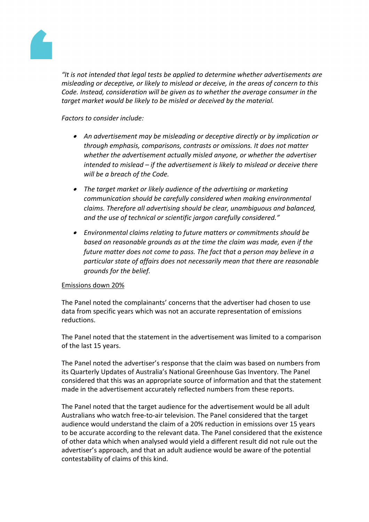

*"It is not intended that legal tests be applied to determine whether advertisements are misleading or deceptive, or likely to mislead or deceive, in the areas of concern to this Code. Instead, consideration will be given as to whether the average consumer in the target market would be likely to be misled or deceived by the material.*

*Factors to consider include:*

- *An advertisement may be misleading or deceptive directly or by implication or through emphasis, comparisons, contrasts or omissions. It does not matter whether the advertisement actually misled anyone, or whether the advertiser intended to mislead – if the advertisement is likely to mislead or deceive there will be a breach of the Code.*
- *The target market or likely audience of the advertising or marketing communication should be carefully considered when making environmental claims. Therefore all advertising should be clear, unambiguous and balanced, and the use of technical or scientific jargon carefully considered."*
- *Environmental claims relating to future matters or commitments should be based on reasonable grounds as at the time the claim was made, even if the future matter does not come to pass. The fact that a person may believe in a particular state of affairs does not necessarily mean that there are reasonable grounds for the belief.*

## Emissions down 20%

The Panel noted the complainants' concerns that the advertiser had chosen to use data from specific years which was not an accurate representation of emissions reductions.

The Panel noted that the statement in the advertisement was limited to a comparison of the last 15 years.

The Panel noted the advertiser's response that the claim was based on numbers from its Quarterly Updates of Australia's National Greenhouse Gas Inventory. The Panel considered that this was an appropriate source of information and that the statement made in the advertisement accurately reflected numbers from these reports.

The Panel noted that the target audience for the advertisement would be all adult Australians who watch free-to-air television. The Panel considered that the target audience would understand the claim of a 20% reduction in emissions over 15 years to be accurate according to the relevant data. The Panel considered that the existence of other data which when analysed would yield a different result did not rule out the advertiser's approach, and that an adult audience would be aware of the potential contestability of claims of this kind.